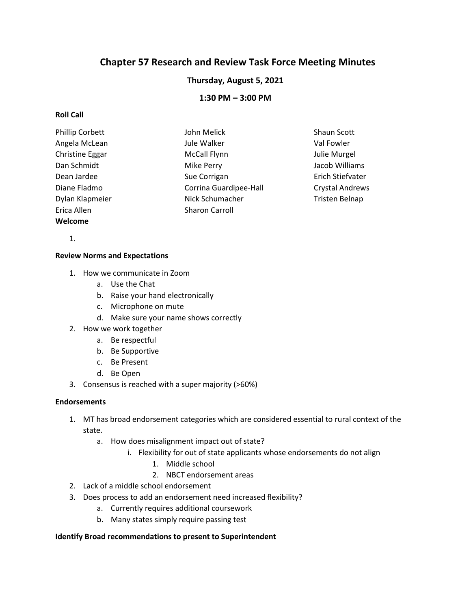# **Chapter 57 Research and Review Task Force Meeting Minutes**

# **Thursday, August 5, 2021**

# **1:30 PM – 3:00 PM**

## **Roll Call**

| Phillip Corbett | John Melick            | Shaun Scott            |
|-----------------|------------------------|------------------------|
| Angela McLean   | Jule Walker            | Val Fowler             |
| Christine Eggar | <b>McCall Flynn</b>    | Julie Murgel           |
| Dan Schmidt     | Mike Perry             | Jacob Williams         |
| Dean Jardee     | Sue Corrigan           | Erich Stiefvater       |
| Diane Fladmo    | Corrina Guardipee-Hall | <b>Crystal Andrews</b> |
| Dylan Klapmeier | Nick Schumacher        | <b>Tristen Belnap</b>  |
| Erica Allen     | <b>Sharon Carroll</b>  |                        |
| Welcome         |                        |                        |

1.

### **Review Norms and Expectations**

- 1. How we communicate in Zoom
	- a. Use the Chat
	- b. Raise your hand electronically
	- c. Microphone on mute
	- d. Make sure your name shows correctly
- 2. How we work together
	- a. Be respectful
	- b. Be Supportive
	- c. Be Present
	- d. Be Open
- 3. Consensus is reached with a super majority (>60%)

#### **Endorsements**

- 1. MT has broad endorsement categories which are considered essential to rural context of the state.
	- a. How does misalignment impact out of state?
		- i. Flexibility for out of state applicants whose endorsements do not align
			- 1. Middle school
			- 2. NBCT endorsement areas
- 2. Lack of a middle school endorsement
- 3. Does process to add an endorsement need increased flexibility?
	- a. Currently requires additional coursework
	- b. Many states simply require passing test

#### **Identify Broad recommendations to present to Superintendent**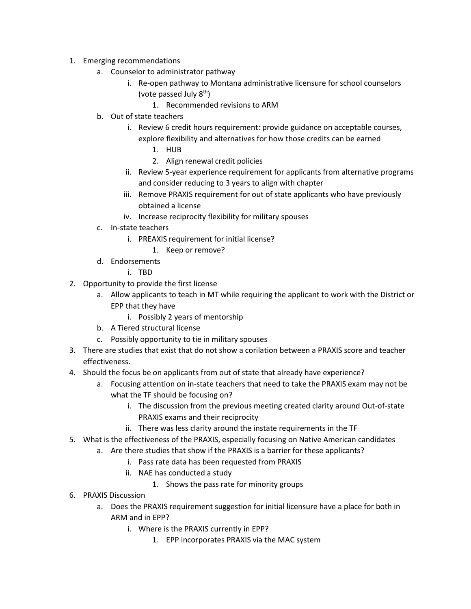- 1. Emerging recommendations
	- a. Counselor to administrator pathway
		- i. Re-open pathway to Montana administrative licensure for school counselors (vote passed July  $8<sup>th</sup>$ )
			- 1. Recommended revisions to ARM
	- b. Out of state teachers
		- i. Review 6 credit hours requirement: provide guidance on acceptable courses, explore flexibility and alternatives for how those credits can be earned
			- 1. HUB
			- 2. Align renewal credit policies
		- ii. Review 5-year experience requirement for applicants from alternative programs and consider reducing to 3 years to align with chapter
		- iii. Remove PRAXIS requirement for out of state applicants who have previously obtained a license
		- iv. Increase reciprocity flexibility for military spouses
	- c. In-state teachers
		- i. PREAXIS requirement for initial license?
			- 1. Keep or remove?
	- d. Endorsements
		- i. TBD
- 2. Opportunity to provide the first license
	- a. Allow applicants to teach in MT while requiring the applicant to work with the District or EPP that they have
		- i. Possibly 2 years of mentorship
	- b. A Tiered structural license
	- c. Possibly opportunity to tie in military spouses
- 3. There are studies that exist that do not show a corilation between a PRAXIS score and teacher effectiveness.
- 4. Should the focus be on applicants from out of state that already have experience?
	- a. Focusing attention on in-state teachers that need to take the PRAXIS exam may not be what the TF should be focusing on?
		- i. The discussion from the previous meeting created clarity around Out-of-state PRAXIS exams and their reciprocity
		- ii. There was less clarity around the instate requirements in the TF
- 5. What is the effectiveness of the PRAXIS, especially focusing on Native American candidates
	- a. Are there studies that show if the PRAXIS is a barrier for these applicants?
		- i. Pass rate data has been requested from PRAXIS
		- ii. NAE has conducted a study
			- 1. Shows the pass rate for minority groups
- 6. PRAXIS Discussion
	- a. Does the PRAXIS requirement suggestion for initial licensure have a place for both in ARM and in EPP?
		- i. Where is the PRAXIS currently in EPP?
			- 1. EPP incorporates PRAXIS via the MAC system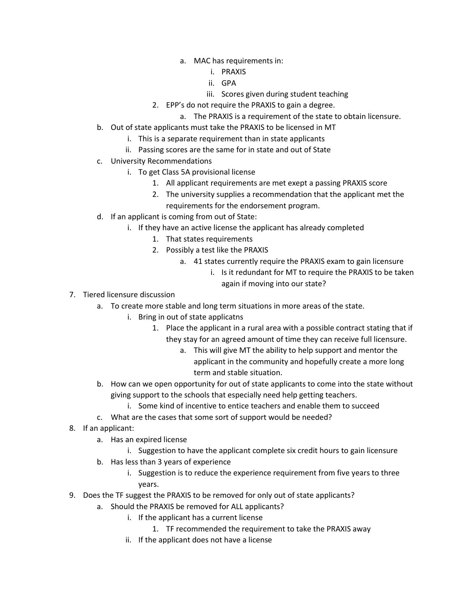- a. MAC has requirements in:
	- i. PRAXIS
	- ii. GPA
	- iii. Scores given during student teaching
- 2. EPP's do not require the PRAXIS to gain a degree.
	- a. The PRAXIS is a requirement of the state to obtain licensure.
- b. Out of state applicants must take the PRAXIS to be licensed in MT
	- i. This is a separate requirement than in state applicants
	- ii. Passing scores are the same for in state and out of State
- c. University Recommendations
	- i. To get Class 5A provisional license
		- 1. All applicant requirements are met exept a passing PRAXIS score
		- 2. The university supplies a recommendation that the applicant met the requirements for the endorsement program.
- d. If an applicant is coming from out of State:
	- i. If they have an active license the applicant has already completed
		- 1. That states requirements
		- 2. Possibly a test like the PRAXIS
			- a. 41 states currently require the PRAXIS exam to gain licensure
				- i. Is it redundant for MT to require the PRAXIS to be taken again if moving into our state?
- 7. Tiered licensure discussion
	- a. To create more stable and long term situations in more areas of the state.
		- i. Bring in out of state applicatns
			- 1. Place the applicant in a rural area with a possible contract stating that if they stay for an agreed amount of time they can receive full licensure.
				- a. This will give MT the ability to help support and mentor the applicant in the community and hopefully create a more long term and stable situation.
	- b. How can we open opportunity for out of state applicants to come into the state without giving support to the schools that especially need help getting teachers.
		- i. Some kind of incentive to entice teachers and enable them to succeed
	- c. What are the cases that some sort of support would be needed?
- 8. If an applicant:
	- a. Has an expired license
		- i. Suggestion to have the applicant complete six credit hours to gain licensure
	- b. Has less than 3 years of experience
		- i. Suggestion is to reduce the experience requirement from five years to three years.
- 9. Does the TF suggest the PRAXIS to be removed for only out of state applicants?
	- a. Should the PRAXIS be removed for ALL applicants?
		- i. If the applicant has a current license
			- 1. TF recommended the requirement to take the PRAXIS away
			- ii. If the applicant does not have a license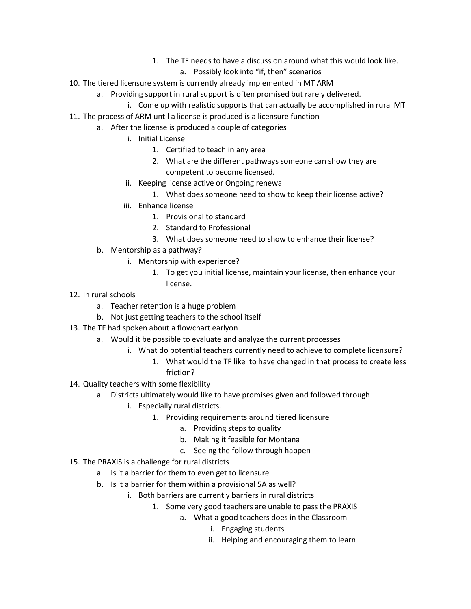- 1. The TF needs to have a discussion around what this would look like.
	- a. Possibly look into "if, then" scenarios
- 10. The tiered licensure system is currently already implemented in MT ARM
	- a. Providing support in rural support is often promised but rarely delivered.
		- i. Come up with realistic supports that can actually be accomplished in rural MT
- 11. The process of ARM until a license is produced is a licensure function
	- a. After the license is produced a couple of categories
		- i. Initial License
			- 1. Certified to teach in any area
			- 2. What are the different pathways someone can show they are competent to become licensed.
		- ii. Keeping license active or Ongoing renewal
			- 1. What does someone need to show to keep their license active?
		- iii. Enhance license
			- 1. Provisional to standard
			- 2. Standard to Professional
			- 3. What does someone need to show to enhance their license?
	- b. Mentorship as a pathway?
		- i. Mentorship with experience?
			- 1. To get you initial license, maintain your license, then enhance your license.
- 12. In rural schools
	- a. Teacher retention is a huge problem
	- b. Not just getting teachers to the school itself
- 13. The TF had spoken about a flowchart earlyon
	- a. Would it be possible to evaluate and analyze the current processes
		- i. What do potential teachers currently need to achieve to complete licensure?
			- 1. What would the TF like to have changed in that process to create less friction?
- 14. Quality teachers with some flexibility
	- a. Districts ultimately would like to have promises given and followed through
		- i. Especially rural districts.
			- 1. Providing requirements around tiered licensure
				- a. Providing steps to quality
				- b. Making it feasible for Montana
				- c. Seeing the follow through happen
- 15. The PRAXIS is a challenge for rural districts
	- a. Is it a barrier for them to even get to licensure
	- b. Is it a barrier for them within a provisional 5A as well?
		- i. Both barriers are currently barriers in rural districts
			- 1. Some very good teachers are unable to pass the PRAXIS
				- a. What a good teachers does in the Classroom
					- i. Engaging students
					- ii. Helping and encouraging them to learn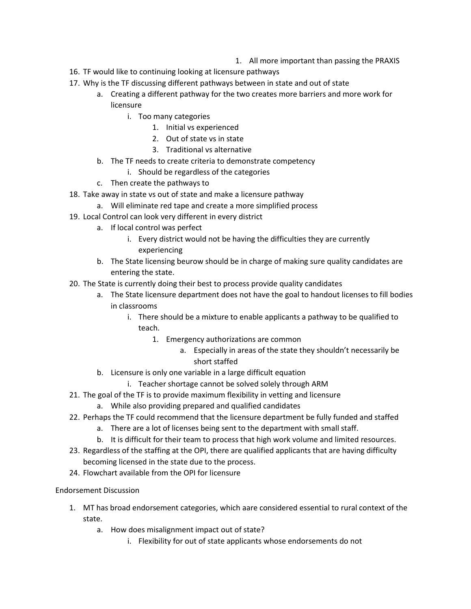- 1. All more important than passing the PRAXIS
- 16. TF would like to continuing looking at licensure pathways
- 17. Why is the TF discussing different pathways between in state and out of state
	- a. Creating a different pathway for the two creates more barriers and more work for licensure
		- i. Too many categories
			- 1. Initial vs experienced
			- 2. Out of state vs in state
			- 3. Traditional vs alternative
	- b. The TF needs to create criteria to demonstrate competency
		- i. Should be regardless of the categories
	- c. Then create the pathways to
- 18. Take away in state vs out of state and make a licensure pathway
	- a. Will eliminate red tape and create a more simplified process
- 19. Local Control can look very different in every district
	- a. If local control was perfect
		- i. Every district would not be having the difficulties they are currently experiencing
	- b. The State licensing beurow should be in charge of making sure quality candidates are entering the state.
- 20. The State is currently doing their best to process provide quality candidates
	- a. The State licensure department does not have the goal to handout licenses to fill bodies in classrooms
		- i. There should be a mixture to enable applicants a pathway to be qualified to teach.
			- 1. Emergency authorizations are common
				- a. Especially in areas of the state they shouldn't necessarily be short staffed
	- b. Licensure is only one variable in a large difficult equation
		- i. Teacher shortage cannot be solved solely through ARM
- 21. The goal of the TF is to provide maximum flexibility in vetting and licensure
	- a. While also providing prepared and qualified candidates
- 22. Perhaps the TF could recommend that the licensure department be fully funded and staffed
	- a. There are a lot of licenses being sent to the department with small staff.
	- b. It is difficult for their team to process that high work volume and limited resources.
- 23. Regardless of the staffing at the OPI, there are qualified applicants that are having difficulty becoming licensed in the state due to the process.
- 24. Flowchart available from the OPI for licensure
- Endorsement Discussion
	- 1. MT has broad endorsement categories, which aare considered essential to rural context of the state.
		- a. How does misalignment impact out of state?
			- i. Flexibility for out of state applicants whose endorsements do not